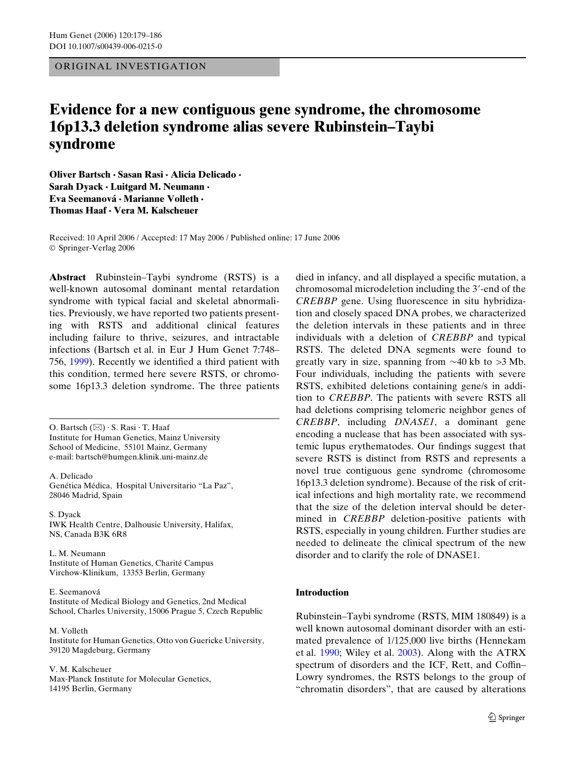ORIGINAL INVESTIGATION

# **Evidence for a new contiguous gene syndrome, the chromosome 16p13.3 deletion syndrome alias severe Rubinstein–Taybi syndrome**

**Oliver Bartsch · Sasan Rasi · Alicia Delicado · Sarah Dyack · Luitgard M. Neumann · Eva Seemanová · Marianne Volleth · Thomas Haaf · Vera M. Kalscheuer** 

Received: 10 April 2006 / Accepted: 17 May 2006 / Published online: 17 June 2006 © Springer-Verlag 2006

**Abstract** Rubinstein–Taybi syndrome (RSTS) is a well-known autosomal dominant mental retardation syndrome with typical facial and skeletal abnormalities. Previously, we have reported two patients presenting with RSTS and additional clinical features including failure to thrive, seizures, and intractable infections (Bartsch et al. in Eur J Hum Genet 7:748– 756,  $1999$ ). Recently we identified a third patient with this condition, termed here severe RSTS, or chromosome 16p13.3 deletion syndrome. The three patients

O. Bartsch  $(\boxtimes) \cdot$  S. Rasi $\cdot$  T. Haaf Institute for Human Genetics, Mainz University School of Medicine, 55101 Mainz, Germany e-mail: bartsch@humgen.klinik.uni-mainz.de

A. Delicado Genética Médica, Hospital Universitario "La Paz", 28046 Madrid, Spain

S. Dyack IWK Health Centre, Dalhousie University, Halifax, NS, Canada B3K 6R8

L. M. Neumann Institute of Human Genetics, Charité Campus Virchow-Klinikum, 13353 Berlin, Germany

#### E. Seemanová

Institute of Medical Biology and Genetics, 2nd Medical School, Charles University, 15006 Prague 5, Czech Republic

M. Volleth Institute for Human Genetics, Otto von Guericke University, 39120 Magdeburg, Germany

V. M. Kalscheuer Max-Planck Institute for Molecular Genetics, 14195 Berlin, Germany

died in infancy, and all displayed a specific mutation, a chromosomal microdeletion including the 3'-end of the *CREBBP* gene. Using fluorescence in situ hybridization and closely spaced DNA probes, we characterized the deletion intervals in these patients and in three individuals with a deletion of *CREBBP* and typical RSTS. The deleted DNA segments were found to greatly vary in size, spanning from  $\sim$  40 kb to > 3 Mb. Four individuals, including the patients with severe RSTS, exhibited deletions containing gene/s in addition to *CREBBP*. The patients with severe RSTS all had deletions comprising telomeric neighbor genes of *CREBBP*, including *DNASE1*, a dominant gene encoding a nuclease that has been associated with systemic lupus erythematodes. Our findings suggest that severe RSTS is distinct from RSTS and represents a novel true contiguous gene syndrome (chromosome 16p13.3 deletion syndrome). Because of the risk of critical infections and high mortality rate, we recommend that the size of the deletion interval should be determined in *CREBBP* deletion-positive patients with RSTS, especially in young children. Further studies are needed to delineate the clinical spectrum of the new disorder and to clarify the role of DNASE1.

## **Introduction**

Rubinstein–Taybi syndrome (RSTS, MIM 180849) is a well known autosomal dominant disorder with an estimated prevalence of 1/125,000 live births (Hennekam et al. [1990](#page-7-0); Wiley et al. [2003\)](#page-7-1). Along with the ATRX spectrum of disorders and the ICF, Rett, and Coffin– Lowry syndromes, the RSTS belongs to the group of "chromatin disorders", that are caused by alterations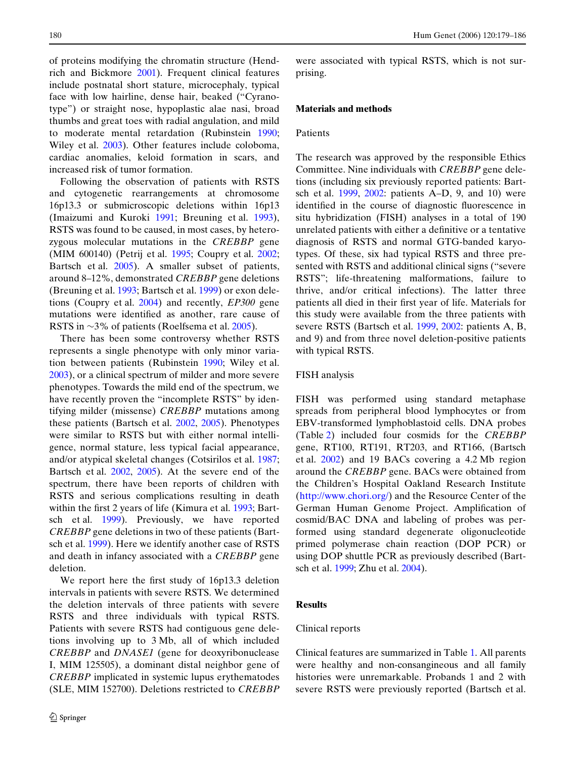of proteins modifying the chromatin structure (Hendrich and Bickmore [2001\)](#page-7-2). Frequent clinical features include postnatal short stature, microcephaly, typical face with low hairline, dense hair, beaked ("Cyranotype") or straight nose, hypoplastic alae nasi, broad thumbs and great toes with radial angulation, and mild to moderate mental retardation (Rubinstein [1990;](#page-7-3) Wiley et al. [2003\)](#page-7-1). Other features include coloboma, cardiac anomalies, keloid formation in scars, and increased risk of tumor formation.

Following the observation of patients with RSTS and cytogenetic rearrangements at chromosome 16p13.3 or submicroscopic deletions within 16p13 (Imaizumi and Kuroki [1991;](#page-7-4) Breuning et al. [1993\)](#page-6-1), RSTS was found to be caused, in most cases, by heterozygous molecular mutations in the *CREBBP* gene (MIM 600140) (Petrij et al. [1995;](#page-7-5) Coupry et al. [2002;](#page-7-6) Bartsch et al. [2005](#page-6-2)). A smaller subset of patients, around 8–12%, demonstrated *CREBBP* gene deletions (Breuning et al. [1993](#page-6-1); Bartsch et al. [1999\)](#page-6-0) or exon deletions (Coupry et al. [2004\)](#page-7-7) and recently, *EP300* gene mutations were identified as another, rare cause of RSTS in  $\sim$ 3% of patients (Roelfsema et al. [2005](#page-7-8)).

There has been some controversy whether RSTS represents a single phenotype with only minor variation between patients (Rubinstein [1990](#page-7-3); Wiley et al. [2003](#page-7-1)), or a clinical spectrum of milder and more severe phenotypes. Towards the mild end of the spectrum, we have recently proven the "incomplete RSTS" by identifying milder (missense) *CREBBP* mutations among these patients (Bartsch et al. [2002,](#page-6-3) [2005](#page-6-2)). Phenotypes were similar to RSTS but with either normal intelligence, normal stature, less typical facial appearance, and/or atypical skeletal changes (Cotsirilos et al. [1987;](#page-7-9) Bartsch et al. [2002,](#page-6-3) [2005](#page-6-2)). At the severe end of the spectrum, there have been reports of children with RSTS and serious complications resulting in death within the first 2 years of life (Kimura et al. [1993](#page-7-10); Bartsch et al. [1999](#page-6-0)). Previously, we have reported *CREBBP* gene deletions in two of these patients (Bartsch et al. [1999\)](#page-6-0). Here we identify another case of RSTS and death in infancy associated with a *CREBBP* gene deletion.

We report here the first study of 16p13.3 deletion intervals in patients with severe RSTS. We determined the deletion intervals of three patients with severe RSTS and three individuals with typical RSTS. Patients with severe RSTS had contiguous gene deletions involving up to 3 Mb, all of which included *CREBBP* and *DNASE1* (gene for deoxyribonuclease I, MIM 125505), a dominant distal neighbor gene of *CREBBP* implicated in systemic lupus erythematodes (SLE, MIM 152700). Deletions restricted to *CREBBP* were associated with typical RSTS, which is not surprising.

#### **Materials and methods**

#### Patients

The research was approved by the responsible Ethics Committee. Nine individuals with *CREBBP* gene deletions (including six previously reported patients: Bartsch et al. [1999](#page-6-0), [2002](#page-6-3): patients A–D, 9, and 10) were identified in the course of diagnostic fluorescence in situ hybridization (FISH) analyses in a total of 190 unrelated patients with either a definitive or a tentative diagnosis of RSTS and normal GTG-banded karyotypes. Of these, six had typical RSTS and three presented with RSTS and additional clinical signs ("severe RSTS"; life-threatening malformations, failure to thrive, and/or critical infections). The latter three patients all died in their first year of life. Materials for this study were available from the three patients with severe RSTS (Bartsch et al. [1999](#page-6-0), [2002:](#page-6-3) patients A, B, and 9) and from three novel deletion-positive patients with typical RSTS.

#### FISH analysis

FISH was performed using standard metaphase spreads from peripheral blood lymphocytes or from EBV-transformed lymphoblastoid cells. DNA probes (Table [2\)](#page-5-0) included four cosmids for the *CREBBP* gene, RT100, RT191, RT203, and RT166, (Bartsch et al. [2002](#page-6-3)) and 19 BACs covering a 4.2 Mb region around the *CREBBP* [gene. BACs were obtained from](http://www.chori.org/) [the Children's Hospital Oakland Research Institute](http://www.chori.org/) [\(](http://www.chori.org/)http://www.chori.org/) and the Resource Center of the German Human Genome Project. Amplification of cosmid/BAC DNA and labeling of probes was performed using standard degenerate oligonucleotide primed polymerase chain reaction (DOP PCR) or using DOP shuttle PCR as previously described (Bartsch et al. [1999](#page-6-0); Zhu et al. [2004\)](#page-7-11).

#### **Results**

#### Clinical reports

Clinical features are summarized in Table [1.](#page-2-0) All parents were healthy and non-consangineous and all family histories were unremarkable. Probands 1 and 2 with severe RSTS were previously reported (Bartsch et al.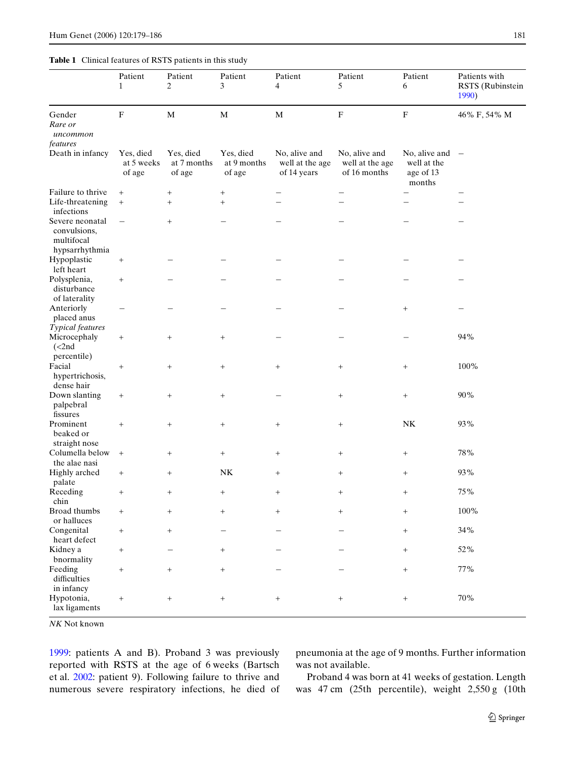## <span id="page-2-0"></span>**Table 1** Clinical features of RSTS patients in this study

|                                                                 | Patient<br>$\mathbf{1}$           | Patient<br>2                       | Patient<br>3                       | Patient<br>4                                    | Patient<br>5                                     | Patient<br>6                                        | Patients with<br>RSTS (Rubinstein<br>1990) |  |
|-----------------------------------------------------------------|-----------------------------------|------------------------------------|------------------------------------|-------------------------------------------------|--------------------------------------------------|-----------------------------------------------------|--------------------------------------------|--|
| Gender<br>Rare or<br>uncommon<br>features                       | $\mathbf F$                       | $\mathbf M$                        | $\mathbf M$                        | $\mathbf M$                                     | $\mathbf F$                                      | ${\bf F}$                                           | 46% F, 54% M                               |  |
| Death in infancy                                                | Yes, died<br>at 5 weeks<br>of age | Yes, died<br>at 7 months<br>of age | Yes, died<br>at 9 months<br>of age | No, alive and<br>well at the age<br>of 14 years | No, alive and<br>well at the age<br>of 16 months | No, alive and<br>well at the<br>age of 13<br>months | $\overline{\phantom{a}}$                   |  |
| Failure to thrive<br>Life-threatening<br>infections             | $+$<br>$^{+}$                     | $\ddot{}$                          | $\boldsymbol{+}$<br>$^{+}$         |                                                 |                                                  |                                                     |                                            |  |
| Severe neonatal<br>convulsions,<br>multifocal<br>hypsarrhythmia | $\qquad \qquad -$                 | $+$                                |                                    |                                                 |                                                  |                                                     |                                            |  |
| Hypoplastic<br>left heart                                       | $\! + \!\!\!\!$                   |                                    |                                    |                                                 |                                                  |                                                     |                                            |  |
| Polysplenia,<br>disturbance<br>of laterality                    | $\boldsymbol{+}$                  |                                    |                                    |                                                 |                                                  |                                                     |                                            |  |
| Anteriorly<br>placed anus<br>Typical features                   | $\qquad \qquad -$                 |                                    |                                    |                                                 |                                                  | $\begin{array}{c} + \end{array}$                    |                                            |  |
| Microcephaly<br>$\left($ <2nd<br>percentile)                    | $^{+}$                            | $^{+}$                             | $\! + \!\!\!\!$                    |                                                 |                                                  |                                                     | 94%                                        |  |
| Facial<br>hypertrichosis,<br>dense hair                         | $\! +$                            | $+$                                | $\boldsymbol{+}$                   | $\! + \!\!\!\!$                                 | $+$                                              | $\! + \!\!\!\!$                                     | 100%                                       |  |
| Down slanting<br>palpebral<br>fissures                          | $\! + \!\!\!\!$                   |                                    |                                    |                                                 | $^{+}$                                           | $\! + \!\!\!\!$                                     | 90%                                        |  |
| Prominent<br>beaked or<br>straight nose                         | $\boldsymbol{+}$                  | $+$                                | $\! +$                             | $\begin{array}{c} + \end{array}$                | $+$                                              | ${\rm N}{\rm K}$                                    | 93%                                        |  |
| Columella below                                                 | $\boldsymbol{+}$                  | $\! + \!\!\!\!$                    | $^{+}$                             | $^{+}$                                          | $^{+}$                                           | $\! + \!\!\!\!$                                     | $78\%$                                     |  |
| the alae nasi<br>Highly arched<br>palate                        | $\! + \!\!\!\!$                   | $^{+}$                             | NK                                 | $^{+}$                                          | $\! + \!\!\!\!$                                  | $^{+}$                                              | 93%                                        |  |
| Receding<br>chin                                                | $^{+}$                            | $^{+}$                             |                                    | $^{+}$                                          | $+$                                              | $^{+}$                                              | 75%                                        |  |
| Broad thumbs<br>or halluces                                     | $\! + \!\!\!\!$                   | $+$                                | $\! +$                             | $\boldsymbol{+}$                                | $+$                                              | $\boldsymbol{+}$                                    | $100\%$                                    |  |
| Congenital<br>heart defect                                      | $\begin{array}{c} + \end{array}$  | $\! + \!\!\!\!$                    | $\qquad \qquad -$                  |                                                 |                                                  | $\begin{array}{c} + \end{array}$                    | $34\%$                                     |  |
| Kidney a<br>bnormality                                          | $\begin{array}{c} + \end{array}$  | $\overline{\phantom{0}}$           | $\boldsymbol{+}$                   |                                                 |                                                  | $\! + \!\!\!\!$                                     | $52\%$                                     |  |
| Feeding<br>difficulties<br>in infancy                           | $\begin{array}{c} + \end{array}$  | $\! + \!\!\!\!$                    | $\boldsymbol{+}$                   |                                                 |                                                  | $+$                                                 | $77\%$                                     |  |
| Hypotonia,<br>lax ligaments                                     | $^+$                              | $\begin{array}{c} + \end{array}$   | $^+$                               | $\begin{array}{c} + \end{array}$                | $+$                                              | $\begin{array}{c} + \end{array}$                    | $70\%$                                     |  |

*NK* Not known

[1999](#page-6-0): patients A and B). Proband 3 was previously reported with RSTS at the age of 6 weeks (Bartsch et al. [2002:](#page-6-3) patient 9). Following failure to thrive and numerous severe respiratory infections, he died of pneumonia at the age of 9 months. Further information was not available.

Proband 4 was born at 41 weeks of gestation. Length was 47 cm (25th percentile), weight 2,550 g (10th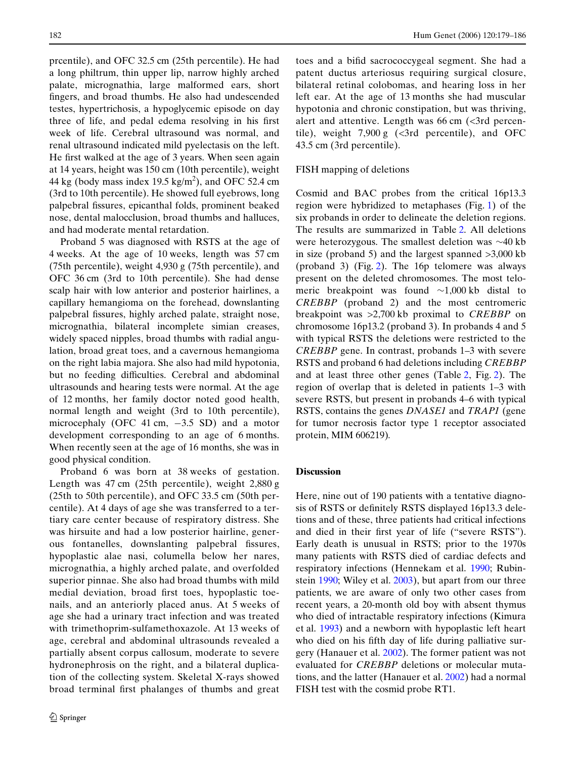prcentile), and OFC 32.5 cm (25th percentile). He had a long philtrum, thin upper lip, narrow highly arched palate, micrognathia, large malformed ears, short fingers, and broad thumbs. He also had undescended testes, hypertrichosis, a hypoglycemic episode on day three of life, and pedal edema resolving in his first week of life. Cerebral ultrasound was normal, and renal ultrasound indicated mild pyelectasis on the left. He first walked at the age of 3 years. When seen again at 14 years, height was 150 cm (10th percentile), weight 44 kg (body mass index  $19.5 \text{ kg/m}^2$ ), and OFC 52.4 cm (3rd to 10th percentile). He showed full eyebrows, long palpebral fissures, epicanthal folds, prominent beaked nose, dental malocclusion, broad thumbs and halluces, and had moderate mental retardation.

Proband 5 was diagnosed with RSTS at the age of 4 weeks. At the age of 10 weeks, length was 57 cm (75th percentile), weight 4,930 g (75th percentile), and OFC 36 cm (3rd to 10th percentile). She had dense scalp hair with low anterior and posterior hairlines, a capillary hemangioma on the forehead, downslanting palpebral fissures, highly arched palate, straight nose, micrognathia, bilateral incomplete simian creases, widely spaced nipples, broad thumbs with radial angulation, broad great toes, and a cavernous hemangioma on the right labia majora. She also had mild hypotonia, but no feeding difficulties. Cerebral and abdominal ultrasounds and hearing tests were normal. At the age of 12 months, her family doctor noted good health, normal length and weight (3rd to 10th percentile), microcephaly (OFC 41 cm,  $-3.5$  SD) and a motor development corresponding to an age of 6 months. When recently seen at the age of 16 months, she was in good physical condition.

Proband 6 was born at 38 weeks of gestation. Length was 47 cm (25th percentile), weight 2,880 g (25th to 50th percentile), and OFC 33.5 cm (50th percentile). At 4 days of age she was transferred to a tertiary care center because of respiratory distress. She was hirsuite and had a low posterior hairline, generous fontanelles, downslanting palpebral fissures, hypoplastic alae nasi, columella below her nares, micrognathia, a highly arched palate, and overfolded superior pinnae. She also had broad thumbs with mild medial deviation, broad first toes, hypoplastic toenails, and an anteriorly placed anus. At 5 weeks of age she had a urinary tract infection and was treated with trimethoprim-sulfamethoxazole. At 13 weeks of age, cerebral and abdominal ultrasounds revealed a partially absent corpus callosum, moderate to severe hydronephrosis on the right, and a bilateral duplication of the collecting system. Skeletal X-rays showed broad terminal first phalanges of thumbs and great toes and a bifid sacrococcygeal segment. She had a patent ductus arteriosus requiring surgical closure, bilateral retinal colobomas, and hearing loss in her left ear. At the age of 13 months she had muscular hypotonia and chronic constipation, but was thriving, alert and attentive. Length was  $66 \text{ cm}$  (<3rd percentile), weight  $7,900 \text{ g}$  (<3rd percentile), and OFC 43.5 cm (3rd percentile).

#### FISH mapping of deletions

Cosmid and BAC probes from the critical 16p13.3 region were hybridized to metaphases (Fig. [1](#page-4-0)) of the six probands in order to delineate the deletion regions. The results are summarized in Table [2](#page-5-0). All deletions were heterozygous. The smallest deletion was  $\sim$ 40 kb in size (proband 5) and the largest spanned >3,000 kb (proband 3) (Fig. [2](#page-6-4)). The 16p telomere was always present on the deleted chromosomes. The most telomeric breakpoint was found  $\sim$ 1,000 kb distal to *CREBBP* (proband 2) and the most centromeric breakpoint was >2,700 kb proximal to *CREBBP* on chromosome 16p13.2 (proband 3). In probands 4 and 5 with typical RSTS the deletions were restricted to the *CREBBP* gene. In contrast, probands 1–3 with severe RSTS and proband 6 had deletions including *CREBBP* and at least three other genes (Table [2](#page-5-0), Fig. [2](#page-6-4)). The region of overlap that is deleted in patients 1–3 with severe RSTS, but present in probands 4–6 with typical RSTS, contains the genes *DNASE1* and *TRAP1* (gene for tumor necrosis factor type 1 receptor associated protein, MIM 606219)*.*

#### **Discussion**

Here, nine out of 190 patients with a tentative diagnosis of RSTS or definitely RSTS displayed 16p13.3 deletions and of these, three patients had critical infections and died in their first year of life ("severe RSTS"). Early death is unusual in RSTS; prior to the 1970s many patients with RSTS died of cardiac defects and respiratory infections (Hennekam et al. [1990;](#page-7-0) Rubinstein [1990;](#page-7-3) Wiley et al. [2003](#page-7-1)), but apart from our three patients, we are aware of only two other cases from recent years, a 20-month old boy with absent thymus who died of intractable respiratory infections (Kimura et al. [1993\)](#page-7-10) and a newborn with hypoplastic left heart who died on his fifth day of life during palliative surgery (Hanauer et al. [2002](#page-7-12)). The former patient was not evaluated for *CREBBP* deletions or molecular mutations, and the latter (Hanauer et al. [2002\)](#page-7-12) had a normal FISH test with the cosmid probe RT1.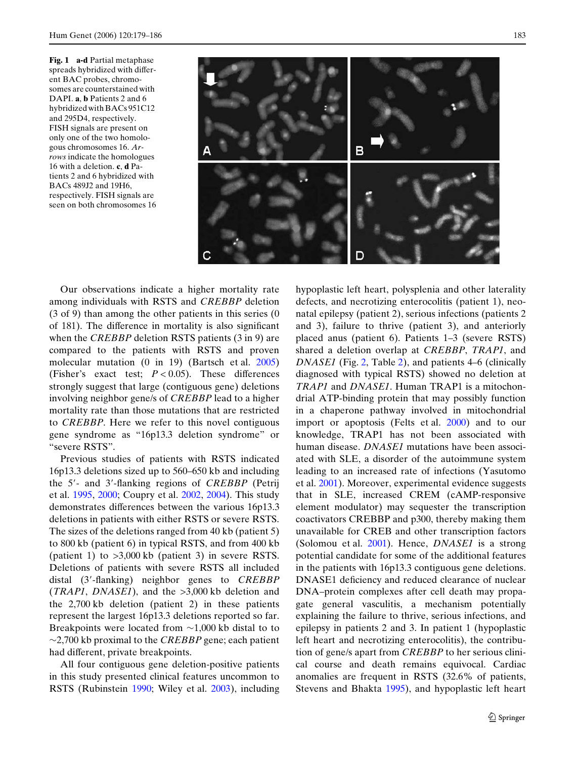<span id="page-4-0"></span>**Fig. 1 a-d** Partial metaphase spreads hybridized with different BAC probes, chromosomes are counterstained with DAPI. **a**, **b** Patients 2 and 6 hybridized with BACs 951C12 and 295D4, respectively. FISH signals are present on only one of the two homologous chromosomes 16. *Arrows* indicate the homologues 16 with a deletion. **c**, **d** Patients 2 and 6 hybridized with BACs 489J2 and 19H6, respectively. FISH signals are seen on both chromosomes 16



Our observations indicate a higher mortality rate among individuals with RSTS and *CREBBP* deletion (3 of 9) than among the other patients in this series (0 of  $181$ ). The difference in mortality is also significant when the *CREBBP* deletion RSTS patients (3 in 9) are compared to the patients with RSTS and proven molecular mutation (0 in 19) (Bartsch et al. [2005](#page-6-2)) (Fisher's exact test;  $P < 0.05$ ). These differences strongly suggest that large (contiguous gene) deletions involving neighbor gene/s of *CREBBP* lead to a higher mortality rate than those mutations that are restricted to *CREBBP*. Here we refer to this novel contiguous gene syndrome as "16p13.3 deletion syndrome" or "severe RSTS".

Previous studies of patients with RSTS indicated 16p13.3 deletions sized up to 560–650 kb and including the 5'- and 3'-flanking regions of *CREBBP* (Petrij et al. [1995,](#page-7-5) [2000](#page-7-13); Coupry et al. [2002,](#page-7-6) [2004\)](#page-7-7). This study demonstrates differences between the various 16p13.3 deletions in patients with either RSTS or severe RSTS. The sizes of the deletions ranged from 40 kb (patient 5) to 800 kb (patient 6) in typical RSTS, and from 400 kb (patient 1) to  $>3,000$  kb (patient 3) in severe RSTS. Deletions of patients with severe RSTS all included distal (3'-flanking) neighbor genes to *CREBBP* (*TRAP1*, *DNASE1*), and the >3,000 kb deletion and the 2,700 kb deletion (patient 2) in these patients represent the largest 16p13.3 deletions reported so far. Breakpoints were located from  $\sim$ 1,000 kb distal to to  $\sim$ 2,700 kb proximal to the *CREBBP* gene; each patient had different, private breakpoints.

All four contiguous gene deletion-positive patients in this study presented clinical features uncommon to RSTS (Rubinstein [1990;](#page-7-3) Wiley et al. [2003\)](#page-7-1), including hypoplastic left heart, polysplenia and other laterality defects, and necrotizing enterocolitis (patient 1), neonatal epilepsy (patient 2), serious infections (patients 2 and 3), failure to thrive (patient 3), and anteriorly placed anus (patient 6). Patients 1–3 (severe RSTS) shared a deletion overlap at *CREBBP*, *TRAP1*, and *DNASE1* (Fig. [2,](#page-6-4) Table [2](#page-5-0)), and patients 4–6 (clinically diagnosed with typical RSTS) showed no deletion at *TRAP1* and *DNASE1*. Human TRAP1 is a mitochondrial ATP-binding protein that may possibly function in a chaperone pathway involved in mitochondrial import or apoptosis (Felts et al. [2000](#page-7-14)) and to our knowledge, TRAP1 has not been associated with human disease. *DNASE1* mutations have been associated with SLE, a disorder of the autoimmune system leading to an increased rate of infections (Yasutomo et al. [2001](#page-7-15)). Moreover, experimental evidence suggests that in SLE, increased CREM (cAMP-responsive element modulator) may sequester the transcription coactivators CREBBP and p300, thereby making them unavailable for CREB and other transcription factors (Solomou et al. [2001](#page-7-16)). Hence, *DNASE1* is a strong potential candidate for some of the additional features in the patients with 16p13.3 contiguous gene deletions. DNASE1 deficiency and reduced clearance of nuclear DNA–protein complexes after cell death may propagate general vasculitis, a mechanism potentially explaining the failure to thrive, serious infections, and epilepsy in patients 2 and 3. In patient 1 (hypoplastic left heart and necrotizing enterocolitis), the contribution of gene/s apart from *CREBBP* to her serious clinical course and death remains equivocal. Cardiac anomalies are frequent in RSTS (32.6% of patients, Stevens and Bhakta [1995](#page-7-17)), and hypoplastic left heart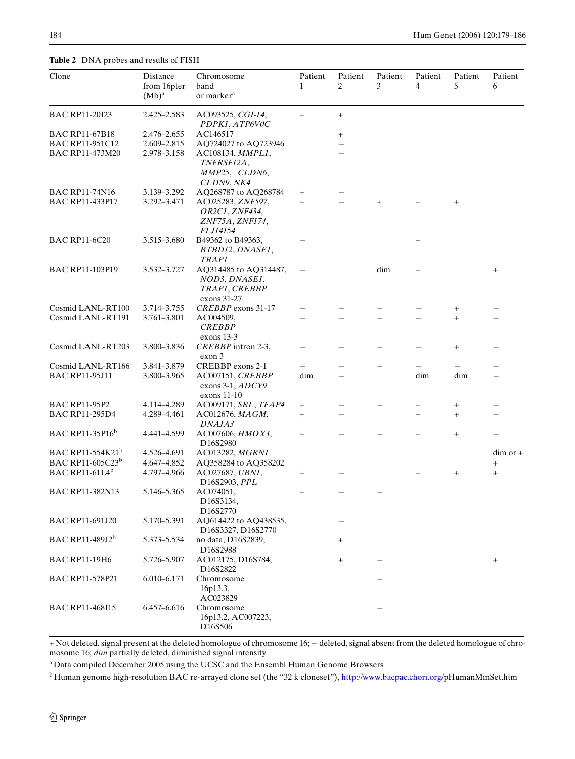<span id="page-5-0"></span>**Table 2** DNA probes and results of FISH

| Clone                              | Distance<br>from 16pter | Chromosome<br>band                                                        | Patient<br>$\mathbf{1}$ | Patient<br>2 | Patient<br>3 | Patient<br>4    | Patient<br>5 | Patient<br>6 |
|------------------------------------|-------------------------|---------------------------------------------------------------------------|-------------------------|--------------|--------------|-----------------|--------------|--------------|
|                                    | $(Mb)^a$                | or marker <sup>a</sup>                                                    |                         |              |              |                 |              |              |
| <b>BAC RP11-20I23</b>              | 2.425-2.583             | AC093525, CGI-14,<br>PDPK1, ATP6V0C                                       | $+$                     | $^{+}$       |              |                 |              |              |
| <b>BAC RP11-67B18</b>              | 2.476-2.655             | AC146517                                                                  |                         | $^{+}$       |              |                 |              |              |
| <b>BAC RP11-951C12</b>             | 2.609-2.815             | AQ724027 to AQ723946                                                      |                         |              |              |                 |              |              |
| <b>BAC RP11-473M20</b>             | 2.978-3.158             | AC108134, <i>MMPL1</i> ,<br>TNFRSF12A,<br>MMP25, CLDN6,<br>CLDN9, NK4     |                         |              |              |                 |              |              |
| <b>BAC RP11-74N16</b>              | 3.139 - 3.292           | AO268787 to AO268784                                                      | $^{+}$                  |              |              |                 |              |              |
| <b>BAC RP11-433P17</b>             | 3.292-3.471             | AC025283, ZNF597,<br>OR2C1, ZNF434,<br>ZNF75A, ZNF174,<br><i>FLJ14154</i> | $+$                     |              | $+$          | $^{+}$          | $^{+}$       |              |
| <b>BAC RP11-6C20</b>               | 3.515-3.680             | B49362 to B49363,                                                         |                         |              |              | $\! + \!\!\!\!$ |              |              |
|                                    |                         | BTBD12, DNASE1,<br>TRAP1                                                  |                         |              |              |                 |              |              |
| <b>BAC RP11-103P19</b>             | 3.532-3.727             | AQ314485 to AQ314487,<br>NOD3, DNASE1,<br>TRAP1, CREBBP<br>exons 31-27    |                         |              | dim          | $^{+}$          |              | $^+$         |
| Cosmid LANL-RT100                  | 3.714-3.755             | CREBBP exons 31-17                                                        |                         |              |              |                 |              |              |
| Cosmid LANL-RT191                  | 3.761-3.801             | AC004509,<br><b>CREBBP</b><br>exons 13-3                                  |                         |              |              |                 | $+$          |              |
| Cosmid LANL-RT203                  | 3.800-3.836             | CREBBP intron 2-3,<br>exon 3                                              |                         |              |              |                 | $^{+}$       |              |
| Cosmid LANL-RT166                  | 3.841-3.879             | CREBBP exons 2-1                                                          |                         |              |              |                 |              |              |
| <b>BAC RP11-95J11</b>              | 3.800-3.965             | AC007151, CREBBP<br>exons 3-1, ADCY9<br>exons $11-10$                     | dim                     |              |              | dim             | dim          |              |
| <b>BAC RP11-95P2</b>               | 4.114-4.289             | AC009171, SRL, TFAP4                                                      | $\! + \!\!\!\!$         |              |              | $\! + \!\!\!\!$ | $\! + \!$    |              |
| <b>BAC RP11-295D4</b>              | 4.289-4.461             | AC012676, MAGM,                                                           | $^{+}$                  |              |              | $^{+}$          | $^{+}$       |              |
|                                    |                         | DNAJA3                                                                    |                         |              |              |                 |              |              |
| <b>BAC RP11-35P16</b> <sup>b</sup> | 4.441-4.599             | AC007606, HMOX3,<br>D <sub>16</sub> S <sub>2980</sub>                     | $^{+}$                  |              |              | $^{+}$          | $^{+}$       |              |
| BAC RP11-554K21 <sup>b</sup>       | 4.526-4.691             | AC013282, MGRN1                                                           |                         |              |              |                 |              | $dim or +$   |
| BAC RP11-605C23 <sup>b</sup>       | 4.647-4.852             | AQ358284 to AQ358202                                                      |                         |              |              |                 |              | $^{+}$       |
| BAC RP11-61L $4^{\rm b}$           | 4.797-4.966             | AC027687, UBN1,<br>D <sub>16</sub> S <sub>2903</sub> , <i>PPL</i>         | $^{+}$                  |              |              | $^{+}$          | $^{+}$       | $^{+}$       |
| <b>BAC RP11-382N13</b>             | 5.146-5.365             | AC074051,<br>D <sub>16</sub> S <sub>3134</sub> ,<br>D16S2770              | $^{+}$                  |              |              |                 |              |              |
| <b>BAC RP11-691J20</b>             | 5.170-5.391             | AQ614422 to AQ438535,<br>D16S3327, D16S2770                               |                         |              |              |                 |              |              |
| BAC RP11-489J2 <sup>b</sup>        | 5.373-5.534             | no data, D16S2839,<br>D16S2988                                            |                         | $^{+}$       |              |                 |              |              |
| <b>BAC RP11-19H6</b>               | 5.726-5.907             | AC012175, D16S784,<br>D16S2822                                            |                         | $^{+}$       |              |                 |              | $^{+}$       |
| <b>BAC RP11-578P21</b>             | 6.010-6.171             | Chromosome<br>16p13.3,<br>AC023829                                        |                         |              |              |                 |              |              |
| <b>BAC RP11-468I15</b>             | 6.457-6.616             | Chromosome<br>16p13.2, AC007223,<br>D16S506                               |                         |              |              |                 |              |              |

+ Not deleted, signal present at the deleted homologue of chromosome 16; - deleted, signal absent from the deleted homologue of chromosome 16; *dim* partially deleted, diminished signal intensity

a Data compiled December 2005 using the UCSC and the Ensembl Human Genome Browsers

b [Human genome high-resolution BAC re-arrayed clone set \(the "32 k cloneset"\),](http://www.bacpac.chori.org) http://www.bacpac.chori.org/pHumanMinSet.htm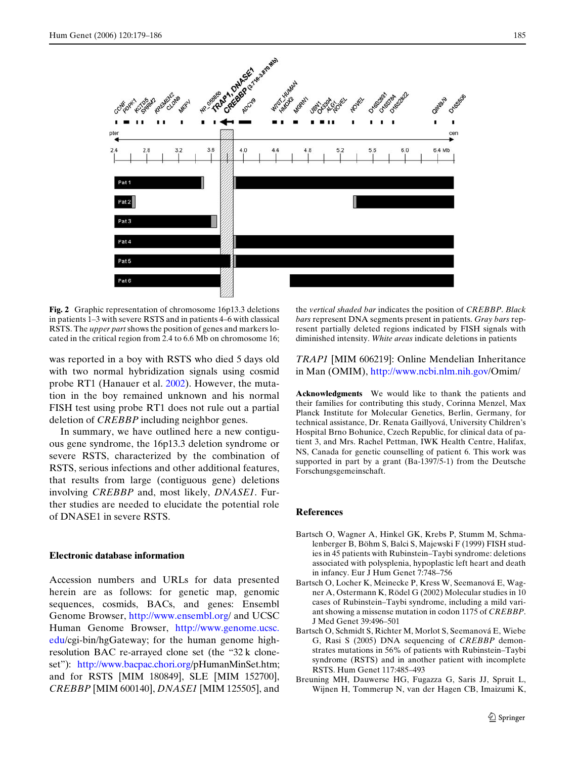

<span id="page-6-4"></span>**Fig. 2** Graphic representation of chromosome 16p13.3 deletions in patients 1–3 with severe RSTS and in patients 4–6 with classical RSTS. The *upper part* shows the position of genes and markers located in the critical region from 2.4 to 6.6 Mb on chromosome 16;

was reported in a boy with RSTS who died 5 days old with two normal hybridization signals using cosmid probe RT1 (Hanauer et al. [2002\)](#page-7-12). However, the mutation in the boy remained unknown and his normal FISH test using probe RT1 does not rule out a partial deletion of *CREBBP* including neighbor genes.

In summary, we have outlined here a new contiguous gene syndrome, the 16p13.3 deletion syndrome or severe RSTS, characterized by the combination of RSTS, serious infections and other additional features, that results from large (contiguous gene) deletions involving *CREBBP* and, most likely, *DNASE1*. Further studies are needed to elucidate the potential role of DNASE1 in severe RSTS.

#### **Electronic database information**

[Accession numbers and URLs for data presented](http://www.ensembl.org) herein are as follows: for genetic map, genomic sequences, cosmids, BACs, and genes: Ensembl [Genome Browser,](http://www.ensembl.org) http://www.ensembl.or[g/ and UCSC](http://www.genome.ucsc.edu) [Human Genome Browser,](http://www.genome.ucsc.edu) http://www.genome.ucsc. ed[u/cgi-bin/hgGateway; for the human genome high](http://www.bacpac.chori.org)[resolution BAC re-arrayed clone set \(the "32 k clone](http://www.bacpac.chori.org)[set"\):](http://www.bacpac.chori.org) http://www.bacpac.chori.org/pHumanMinSet.htm; and for RSTS [MIM 180849], SLE [MIM 152700], *CREBBP* [MIM 600140], *DNASE1* [MIM 125505], and the *vertical shaded bar* indicates the position of *CREBBP*. *Black bars* represent DNA segments present in patients. *Gray bars* represent partially deleted regions indicated by FISH signals with diminished intensity. *White areas* indicate deletions in patients

*TRAP1* [\[MIM 606219\]: Online Mendelian Inheritance](http://www.ncbi.nlm.nih.gov) [in Man \(OMIM\),](http://www.ncbi.nlm.nih.gov) http://www.ncbi.nlm.nih.gov/Omim/

**Acknowledgments** We would like to thank the patients and their families for contributing this study, Corinna Menzel, Max Planck Institute for Molecular Genetics, Berlin, Germany, for technical assistance, Dr. Renata Gaillyová, University Children's Hospital Brno Bohunice, Czech Republic, for clinical data of patient 3, and Mrs. Rachel Pettman, IWK Health Centre, Halifax, NS, Canada for genetic counselling of patient 6. This work was supported in part by a grant (Ba-1397/5-1) from the Deutsche Forschungsgemeinschaft.

### **References**

- <span id="page-6-0"></span>Bartsch O, Wagner A, Hinkel GK, Krebs P, Stumm M, Schmalenberger B, Böhm S, Balci S, Majewski F (1999) FISH studies in 45 patients with Rubinstein–Taybi syndrome: deletions associated with polysplenia, hypoplastic left heart and death in infancy. Eur J Hum Genet 7:748–756
- <span id="page-6-3"></span>Bartsch O, Locher K, Meinecke P, Kress W, Seemanová E, Wagner A, Ostermann K, Rödel G (2002) Molecular studies in 10 cases of Rubinstein–Taybi syndrome, including a mild variant showing a missense mutation in codon 1175 of *CREBBP*. J Med Genet 39:496–501
- <span id="page-6-2"></span>Bartsch O, Schmidt S, Richter M, Morlot S, Seemanová E, Wiebe G, Rasi S (2005) DNA sequencing of *CREBBP* demonstrates mutations in 56% of patients with Rubinstein–Taybi syndrome (RSTS) and in another patient with incomplete RSTS. Hum Genet 117:485–493
- <span id="page-6-1"></span>Breuning MH, Dauwerse HG, Fugazza G, Saris JJ, Spruit L, Wijnen H, Tommerup N, van der Hagen CB, Imaizumi K,